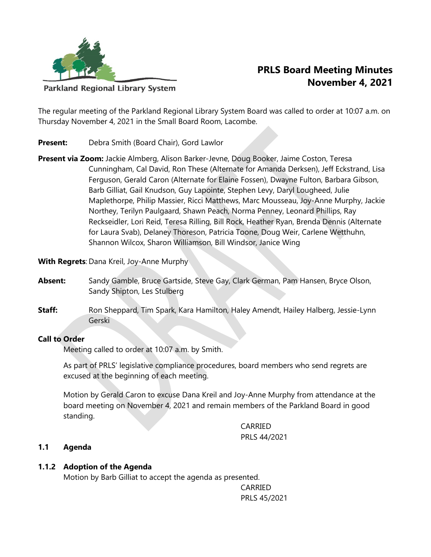

**PRLS Board Meeting Minutes November 4, 2021**

**Parkland Regional Library System** 

The regular meeting of the Parkland Regional Library System Board was called to order at 10:07 a.m. on Thursday November 4, 2021 in the Small Board Room, Lacombe.

- **Present:** Debra Smith (Board Chair), Gord Lawlor
- **Present via Zoom:** Jackie Almberg, Alison Barker-Jevne, Doug Booker, Jaime Coston, Teresa Cunningham, Cal David, Ron These (Alternate for Amanda Derksen), Jeff Eckstrand, Lisa Ferguson, Gerald Caron (Alternate for Elaine Fossen), Dwayne Fulton, Barbara Gibson, Barb Gilliat, Gail Knudson, Guy Lapointe, Stephen Levy, Daryl Lougheed, Julie Maplethorpe, Philip Massier, Ricci Matthews, Marc Mousseau, Joy-Anne Murphy, Jackie Northey, Terilyn Paulgaard, Shawn Peach, Norma Penney, Leonard Phillips, Ray Reckseidler, Lori Reid, Teresa Rilling, Bill Rock, Heather Ryan, Brenda Dennis (Alternate for Laura Svab), Delaney Thoreson, Patricia Toone, Doug Weir, Carlene Wetthuhn, Shannon Wilcox, Sharon Williamson, Bill Windsor, Janice Wing

**With Regrets**: Dana Kreil, Joy-Anne Murphy

- **Absent:** Sandy Gamble, Bruce Gartside, Steve Gay, Clark German, Pam Hansen, Bryce Olson, Sandy Shipton, Les Stulberg
- Staff: Ron Sheppard, Tim Spark, Kara Hamilton, Haley Amendt, Hailey Halberg, Jessie-Lynn Gerski

## **Call to Order**

Meeting called to order at 10:07 a.m. by Smith.

As part of PRLS' legislative compliance procedures, board members who send regrets are excused at the beginning of each meeting.

Motion by Gerald Caron to excuse Dana Kreil and Joy-Anne Murphy from attendance at the board meeting on November 4, 2021 and remain members of the Parkland Board in good standing.

> CARRIED PRLS 44/2021

# **1.1 Agenda**

## **1.1.2 Adoption of the Agenda**

Motion by Barb Gilliat to accept the agenda as presented.

CARRIED PRLS 45/2021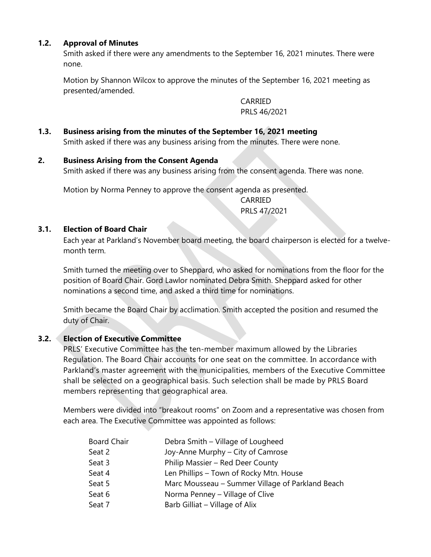#### **1.2. Approval of Minutes**

Smith asked if there were any amendments to the September 16, 2021 minutes. There were none.

Motion by Shannon Wilcox to approve the minutes of the September 16, 2021 meeting as presented/amended.

> CARRIED PRLS 46/2021

# **1.3. Business arising from the minutes of the September 16, 2021 meeting**

Smith asked if there was any business arising from the minutes. There were none.

## **2. Business Arising from the Consent Agenda**

Smith asked if there was any business arising from the consent agenda. There was none.

Motion by Norma Penney to approve the consent agenda as presented.

CARRIED PRLS 47/2021

## **3.1. Election of Board Chair**

Each year at Parkland's November board meeting, the board chairperson is elected for a twelvemonth term.

Smith turned the meeting over to Sheppard, who asked for nominations from the floor for the position of Board Chair. Gord Lawlor nominated Debra Smith. Sheppard asked for other nominations a second time, and asked a third time for nominations.

Smith became the Board Chair by acclimation. Smith accepted the position and resumed the duty of Chair.

## **3.2. Election of Executive Committee**

PRLS' Executive Committee has the ten-member maximum allowed by the Libraries Regulation. The Board Chair accounts for one seat on the committee. In accordance with Parkland's master agreement with the municipalities, members of the Executive Committee shall be selected on a geographical basis. Such selection shall be made by PRLS Board members representing that geographical area.

Members were divided into "breakout rooms" on Zoom and a representative was chosen from each area. The Executive Committee was appointed as follows:

| Board Chair | Debra Smith - Village of Lougheed                |
|-------------|--------------------------------------------------|
| Seat 2      | Joy-Anne Murphy – City of Camrose                |
| Seat 3      | Philip Massier - Red Deer County                 |
| Seat 4      | Len Phillips - Town of Rocky Mtn. House          |
| Seat 5      | Marc Mousseau – Summer Village of Parkland Beach |
| Seat 6      | Norma Penney - Village of Clive                  |
| Seat 7      | Barb Gilliat - Village of Alix                   |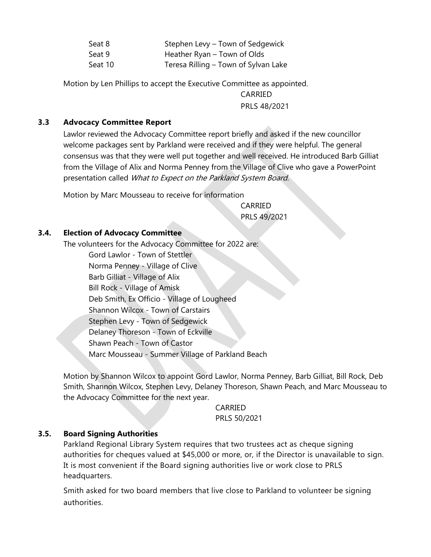| Seat 8  | Stephen Levy - Town of Sedgewick     |
|---------|--------------------------------------|
| Seat 9  | Heather Ryan – Town of Olds          |
| Seat 10 | Teresa Rilling - Town of Sylvan Lake |

Motion by Len Phillips to accept the Executive Committee as appointed. CARRIED

PRLS 48/2021

## **3.3 Advocacy Committee Report**

Lawlor reviewed the Advocacy Committee report briefly and asked if the new councillor welcome packages sent by Parkland were received and if they were helpful. The general consensus was that they were well put together and well received. He introduced Barb Gilliat from the Village of Alix and Norma Penney from the Village of Clive who gave a PowerPoint presentation called What to Expect on the Parkland System Board.

Motion by Marc Mousseau to receive for information

CARRIED PRLS 49/2021

# **3.4. Election of Advocacy Committee**

The volunteers for the Advocacy Committee for 2022 are:

Gord Lawlor - Town of Stettler Norma Penney - Village of Clive Barb Gilliat - Village of Alix Bill Rock - Village of Amisk Deb Smith, Ex Officio - Village of Lougheed Shannon Wilcox - Town of Carstairs Stephen Levy - Town of Sedgewick Delaney Thoreson - Town of Eckville Shawn Peach - Town of Castor Marc Mousseau - Summer Village of Parkland Beach

Motion by Shannon Wilcox to appoint Gord Lawlor, Norma Penney, Barb Gilliat, Bill Rock, Deb Smith, Shannon Wilcox, Stephen Levy, Delaney Thoreson, Shawn Peach, and Marc Mousseau to the Advocacy Committee for the next year.

> CARRIED PRLS 50/2021

## **3.5. Board Signing Authorities**

Parkland Regional Library System requires that two trustees act as cheque signing authorities for cheques valued at \$45,000 or more, or, if the Director is unavailable to sign. It is most convenient if the Board signing authorities live or work close to PRLS headquarters.

Smith asked for two board members that live close to Parkland to volunteer be signing authorities.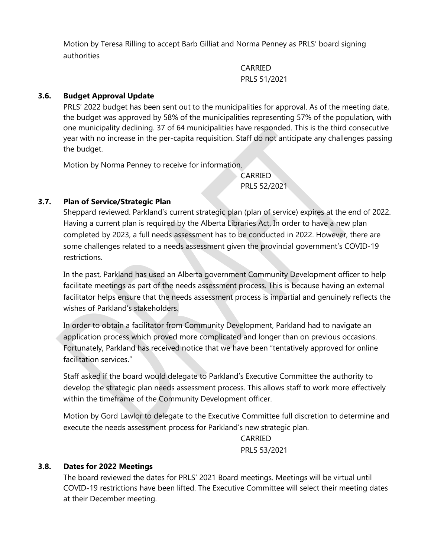Motion by Teresa Rilling to accept Barb Gilliat and Norma Penney as PRLS' board signing authorities

> CARRIED PRLS 51/2021

## **3.6. Budget Approval Update**

PRLS' 2022 budget has been sent out to the municipalities for approval. As of the meeting date, the budget was approved by 58% of the municipalities representing 57% of the population, with one municipality declining. 37 of 64 municipalities have responded. This is the third consecutive year with no increase in the per-capita requisition. Staff do not anticipate any challenges passing the budget.

Motion by Norma Penney to receive for information.

CARRIED PRLS 52/2021

# **3.7. Plan of Service/Strategic Plan**

Sheppard reviewed. Parkland's current strategic plan (plan of service) expires at the end of 2022. Having a current plan is required by the Alberta Libraries Act. In order to have a new plan completed by 2023, a full needs assessment has to be conducted in 2022. However, there are some challenges related to a needs assessment given the provincial government's COVID-19 restrictions.

In the past, Parkland has used an Alberta government Community Development officer to help facilitate meetings as part of the needs assessment process. This is because having an external facilitator helps ensure that the needs assessment process is impartial and genuinely reflects the wishes of Parkland's stakeholders.

In order to obtain a facilitator from Community Development, Parkland had to navigate an application process which proved more complicated and longer than on previous occasions. Fortunately, Parkland has received notice that we have been "tentatively approved for online facilitation services."

Staff asked if the board would delegate to Parkland's Executive Committee the authority to develop the strategic plan needs assessment process. This allows staff to work more effectively within the timeframe of the Community Development officer.

Motion by Gord Lawlor to delegate to the Executive Committee full discretion to determine and execute the needs assessment process for Parkland's new strategic plan.

> CARRIED PRLS 53/2021

## **3.8. Dates for 2022 Meetings**

The board reviewed the dates for PRLS' 2021 Board meetings. Meetings will be virtual until COVID-19 restrictions have been lifted. The Executive Committee will select their meeting dates at their December meeting.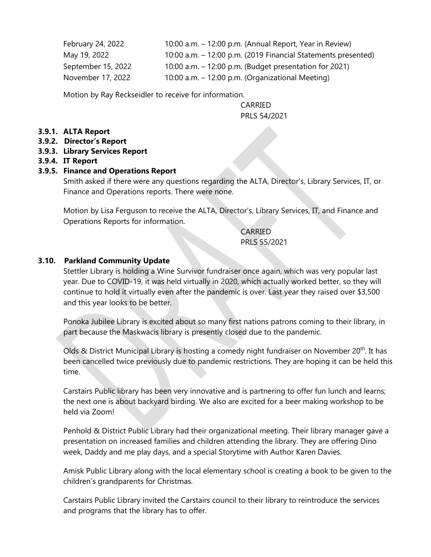| February 24, 2022  | 10:00 a.m. - 12:00 p.m. (Annual Report, Year in Review)       |
|--------------------|---------------------------------------------------------------|
| May 19, 2022       | 10:00 a.m. - 12:00 p.m. (2019 Financial Statements presented) |
| September 15, 2022 | 10:00 a.m. $-$ 12:00 p.m. (Budget presentation for 2021)      |
| November 17, 2022  | 10:00 a.m. $-$ 12:00 p.m. (Organizational Meeting)            |

Motion by Ray Reckseidler to receive for information.

CARRIED PRLS 54/2021

#### **3.9.1. ALTA Report**

- **3.9.2. Director's Report**
- **3.9.3. Library Services Report**
- **3.9.4. IT Report**

## **3.9.5. Finance and Operations Report**

Smith asked if there were any questions regarding the ALTA, Director's, Library Services, IT, or Finance and Operations reports. There were none.

Motion by Lisa Ferguson to receive the ALTA, Director's, Library Services, IT, and Finance and Operations Reports for information.

> CARRIED PRLS 55/2021

## **3.10. Parkland Community Update**

Stettler Library is holding a Wine Survivor fundraiser once again, which was very popular last year. Due to COVID-19, it was held virtually in 2020, which actually worked better, so they will continue to hold it virtually even after the pandemic is over. Last year they raised over \$3,500 and this year looks to be better.

Ponoka Jubilee Library is excited about so many first nations patrons coming to their library, in part because the Maskwacis library is presently closed due to the pandemic.

Olds & District Municipal Library is hosting a comedy night fundraiser on November 20<sup>th</sup>. It has been cancelled twice previously due to pandemic restrictions. They are hoping it can be held this time.

Carstairs Public library has been very innovative and is partnering to offer fun lunch and learns; the next one is about backyard birding. We also are excited for a beer making workshop to be held via Zoom!

Penhold & District Public Library had their organizational meeting. Their library manager gave a presentation on increased families and children attending the library. They are offering Dino week, Daddy and me play days, and a special Storytime with Author Karen Davies.

Amisk Public Library along with the local elementary school is creating a book to be given to the children's grandparents for Christmas.

Carstairs Public Library invited the Carstairs council to their library to reintroduce the services and programs that the library has to offer.